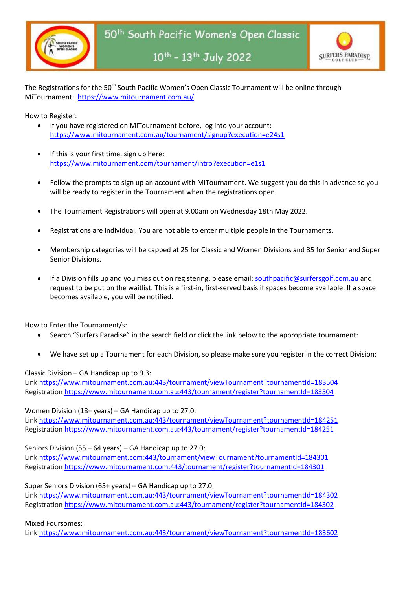



10<sup>th</sup> - 13<sup>th</sup> July 2022

The Registrations for the 50<sup>th</sup> South Pacific Women's Open Classic Tournament will be online through MiTournament: <https://www.mitournament.com.au/>

How to Register:

- If you have registered on MiTournament before, log into your account: <https://www.mitournament.com.au/tournament/signup?execution=e24s1>
- If this is your first time, sign up here: <https://www.mitournament.com/tournament/intro?execution=e1s1>
- Follow the prompts to sign up an account with MiTournament. We suggest you do this in advance so you will be ready to register in the Tournament when the registrations open.
- The Tournament Registrations will open at 9.00am on Wednesday 18th May 2022.
- Registrations are individual. You are not able to enter multiple people in the Tournaments.
- Membership categories will be capped at 25 for Classic and Women Divisions and 35 for Senior and Super Senior Divisions.
- If a Division fills up and you miss out on registering, please email: [southpacific@surfersgolf.com.au](mailto:southpacific@surfersgolf.com.au) and request to be put on the waitlist. This is a first-in, first-served basis if spaces become available. If a space becomes available, you will be notified.

How to Enter the Tournament/s:

- Search "Surfers Paradise" in the search field or click the link belo[w to](https://www.mitournament.com/tournament/register?tournamentId=182851) the appropriate tournament:
- We have set up a Tournament for each Division, so please make sure you register in the correct Division:

Classic Division – GA Handicap up to 9.3:

Link [https://www.mitournament.com.au:443/tournament/viewTournament?tournamentId=183504](https://www.mitournament.com.au/tournament/viewTournament?tournamentId=183504) Registration [https://www.mitournament.com.au:443/tournament/register?tournamentId=183504](https://www.mitournament.com.au/tournament/register?tournamentId=183504)

Women Division (18+ years) – GA Handicap up to 27.0:

Link [https://www.mitournament.com.au:443/tournament/viewTournament?tournamentId=184251](https://www.mitournament.com.au/tournament/viewTournament?tournamentId=184251) Registration [https://www.mitournament.com.au:443/tournament/register?tournamentId=184251](https://www.mitournament.com.au/tournament/register?tournamentId=184251)

Seniors Division (55 – 64 years) – GA Handicap up to 27.0:

Link [https://www.mitournament.com:443/tournament/viewTournament?tournamentId=184301](https://www.mitournament.com/tournament/viewTournament?tournamentId=184301) Registration [https://www.mitournament.com:443/tournament/register?tournamentId=184301](https://www.mitournament.com/tournament/register?tournamentId=184301)

Super Seniors Division (65+ years) – GA Handicap up to 27.0:

Link [https://www.mitournament.com.au:443/tournament/viewTournament?tournamentId=184302](https://www.mitournament.com.au/tournament/viewTournament?tournamentId=184302) Registration [https://www.mitournament.com.au:443/tournament/register?tournamentId=184302](https://www.mitournament.com.au/tournament/register?tournamentId=184302)

## Mixed Foursomes:

Link [https://www.mitournament.com.au:443/tournament/viewTournament?tournamentId=183602](https://www.mitournament.com.au/tournament/viewTournament?tournamentId=183602)